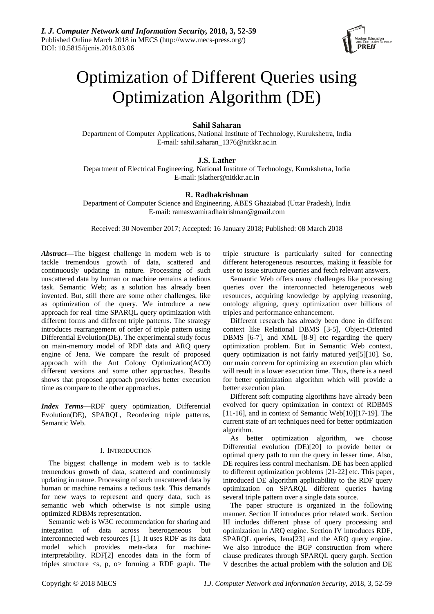

# Optimization of Different Queries using Optimization Algorithm (DE)

# **Sahil Saharan**

Department of Computer Applications, National Institute of Technology, Kurukshetra, India E-mail: sahil.saharan\_1376@nitkkr.ac.in

# **J.S. Lather**

Department of Electrical Engineering, National Institute of Technology, Kurukshetra, India E-mail: jslather@nitkkr.ac.in

# **R. Radhakrishnan**

Department of Computer Science and Engineering, ABES Ghaziabad (Uttar Pradesh), India E-mail: ramaswamiradhakrishnan@gmail.com

Received: 30 November 2017; Accepted: 16 January 2018; Published: 08 March 2018

*Abstract***—**The biggest challenge in modern web is to tackle tremendous growth of data, scattered and continuously updating in nature. Processing of such unscattered data by human or machine remains a tedious task. Semantic Web; as a solution has already been invented. But, still there are some other challenges, like as optimization of the query. We introduce a new approach for real–time SPARQL query optimization with different forms and different triple patterns. The strategy introduces rearrangement of order of triple pattern using Differential Evolution(DE). The experimental study focus on main-memory model of RDF data and ARQ query engine of Jena. We compare the result of proposed approach with the Ant Colony Optimization(ACO) different versions and some other approaches. Results shows that proposed approach provides better execution time as compare to the other approaches.

*Index Terms***—**RDF query optimization, Differential Evolution(DE), SPARQL, Reordering triple patterns, Semantic Web.

## I. INTRODUCTION

The biggest challenge in modern web is to tackle tremendous growth of data, scattered and continuously updating in nature. Processing of such unscattered data by human or machine remains a tedious task. This demands for new ways to represent and query data, such as semantic web which otherwise is not simple using optimized RDBMs representation.

Semantic web is W3C recommendation for sharing and integration of data across heterogeneous but interconnected web resources [1]. It uses RDF as its data model which provides meta-data for machineinterpretability. RDF[2] encodes data in the form of triples structure  $\langle s, p, \omega \rangle$  forming a RDF graph. The

triple structure is particularly suited for connecting different heterogeneous resources, making it feasible for user to issue structure queries and fetch relevant answers.

Semantic Web offers many challenges like processing queries over the interconnected heterogeneous web resources, acquiring knowledge by applying reasoning, ontology aligning, query optimization over billions of triples and performance enhancement.

Different research has already been done in different context like Relational DBMS [3-5], Object-Oriented DBMS [6-7], and XML [8-9] etc regarding the query optimization problem. But in Semantic Web context, query optimization is not fairly matured yet[5][10]. So, our main concern for optimizing an execution plan which will result in a lower execution time. Thus, there is a need for better optimization algorithm which will provide a better execution plan.

Different soft computing algorithms have already been evolved for query optimization in context of RDBMS [11-16], and in context of Semantic Web[10][17-19]. The current state of art techniques need for better optimization algorithm.

As better optimization algorithm, we choose Differential evolution (DE)[20] to provide better or optimal query path to run the query in lesser time. Also, DE requires less control mechanism. DE has been applied to different optimization problems [21-22] etc. This paper, introduced DE algorithm applicability to the RDF query optimization on SPARQL different queries having several triple pattern over a single data source.

The paper structure is organized in the following manner. Section II introduces prior related work. Section III includes different phase of query processing and optimization in ARQ engine. Section IV introduces RDF, SPARQL queries, Jena[23] and the ARQ query engine. We also introduce the BGP construction from where clause predicates through SPARQL query garph. Section V describes the actual problem with the solution and DE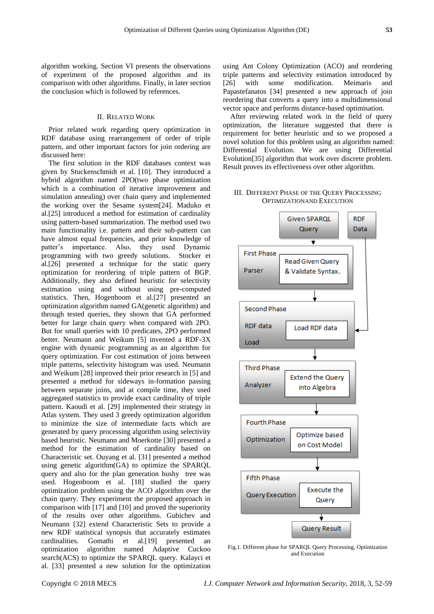algorithm working. Section VI presents the observations of experiment of the proposed algorithm and its comparison with other algorithms. Finally, in later section the conclusion which is followed by references.

## II. RELATED WORK

Prior related work regarding query optimization in RDF database using rearrangement of order of triple pattern, and other important factors for join ordering are discussed here:

The first solution in the RDF databases context was given by Stuckenschmidt et al. [10]. They introduced a hybrid algorithm named 2PO(two phase optimization which is a combination of iterative improvement and simulation annealing) over chain query and implemented the working over the Sesame system[24]. Maduko et al.[25] introduced a method for estimation of cardinality using pattern-based summarization. The method used two main functionality i.e. pattern and their sub-pattern can have almost equal frequencies, and prior knowledge of patter's importance. Also, they used Dynamic programming with two greedy solutions. Stocker et al.[26] presented a technique for the static query optimization for reordering of triple pattern of BGP. Additionally, they also defined heuristic for selectivity estimation using and without using pre-computed statistics. Then, Hogenboom et al.[27] presented an optimization algorithm named GA(genetic algorithm) and through tested queries, they shown that GA performed better for large chain query when compared with 2PO. But for small queries with 10 predicates, 2PO performed better. Neumann and Weikum [5] invented a RDF-3X engine with dynamic programming as an algorithm for query optimization. For cost estimation of joins between triple patterns, selectivity histogram was used. Neumann and Weikum [28] improved their prior research in [5] and presented a method for sideways in-formation passing between separate joins, and at compile time, they used aggregated statistics to provide exact cardinality of triple pattern. Kaoudi et al. [29] implemented their strategy in Atlas system. They used 3 greedy optimization algorithm to minimize the size of intermediate facts which are generated by query processing algorithm using selectivity based heuristic. Neumann and Moerkotte [30] presented a method for the estimation of cardinality based on Characteristic set. Ouyang et al. [31] presented a method using genetic algorithm(GA) to optimize the SPARQL query and also for the plan generation bushy tree was used. Hogenboom et al. [18] studied the query optimization problem using the ACO algorithm over the chain query. They experiment the proposed approach in comparison with [17] and [10] and proved the superiority of the results over other algorithms. Gubichev and Neumann [32] extend Characteristic Sets to provide a new RDF statistical synopsis that accurately estimates cardinalities. Gomathi et al.[19] presented an optimization algorithm named Adaptive Cuckoo search(ACS) to optimize the SPARQL query. Kalayci et al. [33] presented a new solution for the optimization

using Ant Colony Optimization (ACO) and reordering triple patterns and selectivity estimation introduced by [26] with some modification. Meimaris and Papastefanatos [34] presented a new approach of join reordering that converts a query into a multidimensional vector space and performs distance-based optimisation.

After reviewing related work in the field of query optimization, the literature suggested that there is requirement for better heuristic and so we proposed a novel solution for this problem using an algorithm named: Differential Evolution. We are using Differential Evolution[35] algorithm that work over discrete problem. Result proves its effectiveness over other algorithm.

## III. DIFFERENT PHASE OF THE QUERY PROCESSING OPTIMIZATIONAND EXECUTION



Fig.1. Different phase for SPARQL Query Processing, Optimization and Execution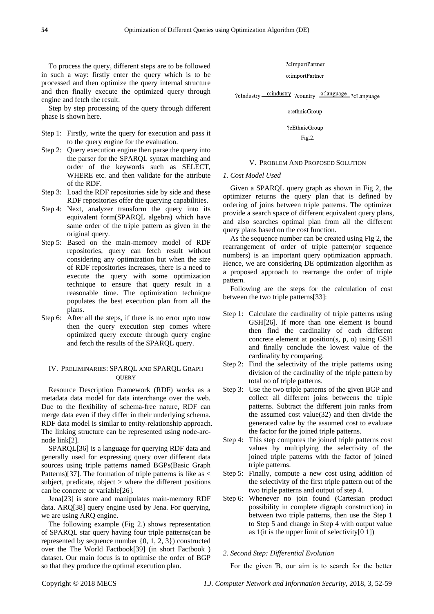To process the query, different steps are to be followed in such a way: firstly enter the query which is to be processed and then optimize the query internal structure and then finally execute the optimized query through engine and fetch the result.

Step by step processing of the query through different phase is shown here.

- Step 1: Firstly, write the query for execution and pass it to the query engine for the evaluation.
- Step 2: Query execution engine then parse the query into the parser for the SPARQL syntax matching and order of the keywords such as SELECT, WHERE etc. and then validate for the attribute of the RDF.
- Step 3: Load the RDF repositories side by side and these RDF repositories offer the querying capabilities.
- Step 4: Next, analyzer transform the query into its equivalent form(SPARQL algebra) which have same order of the triple pattern as given in the original query.
- Step 5: Based on the main-memory model of RDF repositories, query can fetch result without considering any optimization but when the size of RDF repositories increases, there is a need to execute the query with some optimization technique to ensure that query result in a reasonable time. The optimization technique populates the best execution plan from all the plans.
- Step 6: After all the steps, if there is no error upto now then the query execution step comes where optimized query execute through query engine and fetch the results of the SPARQL query.

### IV. PRELIMINARIES: SPARQL AND SPARQL GRAPH **OUERY**

Resource Description Framework (RDF) works as a metadata data model for data interchange over the web. Due to the flexibility of schema-free nature, RDF can merge data even if they differ in their underlying schema. RDF data model is similar to entity-relationship approach. The linking structure can be represented using node-arcnode link[2].

SPARQL[36] is a language for querying RDF data and generally used for expressing query over different data sources using triple patterns named BGPs(Basic Graph Patterns)[37]. The formation of triple patterns is like as < subject, predicate, object > where the different positions can be concrete or variable[26].

Jena[23] is store and manipulates main-memory RDF data. ARQ[38] query engine used by Jena. For querying, we are using ARQ engine.

The following example (Fig 2.) shows representation of SPARQL star query having four triple patterns(can be represented by sequence number {0, 1, 2, 3}) constructed over the The World Factbook[39] (in short Factbook ) dataset. Our main focus is to optimise the order of BGP so that they produce the optimal execution plan.



## V. PROBLEM AND PROPOSED SOLUTION

#### *1. Cost Model Used*

Given a SPARQL query graph as shown in Fig 2, the optimizer returns the query plan that is defined by ordering of joins between triple patterns. The optimizer provide a search space of different equivalent query plans, and also searches optimal plan from all the different query plans based on the cost function.

As the sequence number can be created using Fig 2, the rearrangement of order of triple pattern(or sequence numbers) is an important query optimization approach. Hence, we are considering DE optimization algorithm as a proposed approach to rearrange the order of triple pattern.

Following are the steps for the calculation of cost between the two triple patterns[33]:

- Step 1: Calculate the cardinality of triple patterns using GSH[26]. If more than one element is bound then find the cardinality of each different concrete element at position(s, p, o) using GSH and finally conclude the lowest value of the cardinality by comparing.
- Step 2: Find the selectivity of the triple patterns using division of the cardinality of the triple pattern by total no of triple patterns.
- Step 3: Use the two triple patterns of the given BGP and collect all different joins betweens the triple patterns. Subtract the different join ranks from the assumed cost value(32) and then divide the generated value by the assumed cost to evaluate the factor for the joined triple patterns.
- Step 4: This step computes the joined triple patterns cost values by multiplying the selectivity of the joined triple patterns with the factor of joined triple patterns.
- Step 5: Finally, compute a new cost using addition of the selectivity of the first triple pattern out of the two triple patterns and output of step 4.
- Step 6: Whenever no join found (Cartesian product possibility in complete digraph construction) in between two triple patterns, then use the Step 1 to Step 5 and change in Step 4 with output value as 1(it is the upper limit of selectivity $[0 1]$ )

## *2. Second Step: Differential Evolution*

For the given Ɓ, our aim is to search for the better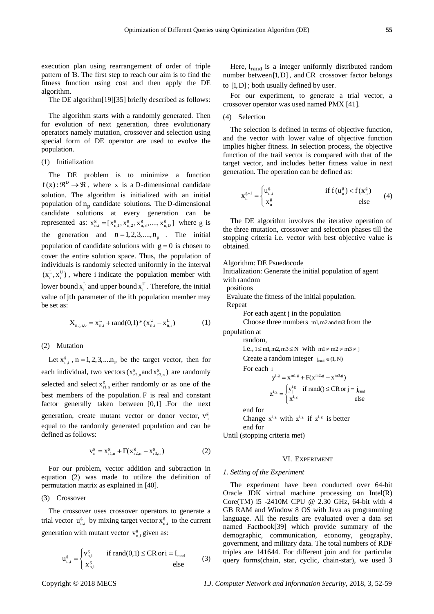execution plan using rearrangement of order of triple pattern of Ɓ. The first step to reach our aim is to find the fitness function using cost and then apply the DE algorithm.

The DE algorithm[19][35] briefly described as follows:

The algorithm starts with a randomly generated. Then for evolution of next generation, three evolutionary operators namely mutation, crossover and selection using special form of DE operator are used to evolve the population.

(1) Initialization

The DE problem is to minimize a function  $f(x): \mathbb{R}^D \to \mathbb{R}$ , where x is a D-dimensional candidate solution. The algorithm is initialized with an initial population of  $n_p$  candidate solutions. The D-dimensional candidate solutions at every generation can be represented as:  $x_{n,i}^{g} = [x_{n,1}^{g}, x_{n,2}^{g}, x_{n,3}^{g}, ..., x_{n,D}^{g}]$  where g is the generation and  $n = 1, 2, 3, ..., n_p$ . The initial population of candidate solutions with  $g = 0$  is chosen to cover the entire solution space. Thus, the population of individuals is randomly selected uniformly in the interval  $(x_i^L, x_i^U)$ , where i indicate the population member with lower bound  $x_i^L$  and upper bound  $x_i^U$ . Therefore, the initial value of jth parameter of the ith population member may be set as:

$$
X_{n,j,i,0} = x_{n,i}^{L} + rand(0,1) * (x_{n,i}^{U} - x_{n,i}^{L})
$$
 (1)

#### (2) Mutation

Let  $x_{n,i}^g$ ,  $n = 1, 2, 3, \dots n_p$  be the target vector, then for each individual, two vectors ( $x_{r2,n}^g$  and  $x_{r3,n}^g$ ) are randomly selected and select  $x_{r1,n}^g$  either randomly or as one of the best members of the population. F is real and constant factor generally taken between [0,1] .For the next generation, create mutant vector or donor vector,  $v_n^g$ equal to the randomly generated population and can be defined as follows:

$$
v_n^g = x_{r1,n}^g + F(x_{r2,n}^g - x_{r3,n}^g)
$$
 (2)

For our problem, vector addition and subtraction in equation (2) was made to utilize the definition of permutation matrix as explained in [40].

## (3) Crossover

The crossover uses crossover operators to generate a trial vector  $u_{n,i}^{g}$  by mixing target vector  $x_{n,i}^{g}$  to the current generation with mutant vector  $v_{n,i}^g$  given as:

$$
\mathbf{u}_{n,i}^{\mathbf{g}} = \begin{cases} \mathbf{v}_{n,i}^{\mathbf{g}} & \text{if } \text{rand}(0,1) \leq \text{CR or } i = \mathbf{I}_{\text{rand}}\\ \mathbf{x}_{n,i}^{\mathbf{g}} & \text{else} \end{cases} \tag{3}
$$

Here,  $I_{rand}$  is a integer uniformly distributed random number between [1,D] , and CR crossover factor belongs to [1,D] ; both usually defined by user.

For our experiment, to generate a trial vector, a crossover operator was used named PMX [41].

## (4) Selection

The selection is defined in terms of objective function, and the vector with lower value of objective function implies higher fitness. In selection process, the objective function of the trail vector is compared with that of the target vector, and includes better fitness value in next generation. The operation can be defined as:

$$
\mathbf{x}_{n}^{g+1} = \begin{cases} \mathbf{u}_{n,i}^{g} & \text{if } f(\mathbf{u}_{n}^{g}) < f(\mathbf{x}_{n}^{g}) \\ \mathbf{x}_{n}^{g} & \text{else} \end{cases} \tag{4}
$$

The DE algorithm involves the iterative operation of the three mutation, crossover and selection phases till the stopping criteria i.e. vector with best objective value is obtained.

Algorithm: DE Psuedocode

Initialization: Generate the initial population of agent with random

positions

Evaluate the fitness of the initial population.

Repeat

For each agent j in the population

 Choose three numbers m1,m2andm3 from the population at

random,

i.e., 
$$
1 \leq m1, m2, m3 \leq N
$$
 with  $m1 \neq m2 \neq m3 \neq j$ 

Create a random integer  $j_{rand} \in (1, N)$ 

For each i

$$
y^{i,g} = x^{m1,g} + F(x^{m2,g} - x^{m3,g})
$$
  

$$
z_j^{i,g} = \begin{cases} y_j^{i,g} & \text{if rand()} \le CR \text{ or } j = j_{\text{rand}} \\ x_j^{i,g} & \text{else} \end{cases}
$$

end for

Change  $x^{i,g}$  with  $z^{i,g}$  if  $z^{i,g}$  is better end for

Until (stopping criteria met)

#### VI. EXPERIMENT

#### *1. Setting of the Experiment*

The experiment have been conducted over 64-bit Oracle JDK virtual machine processing on Intel(R) Core(TM) i5 -2410M CPU @ 2.30 GHz, 64-bit with 4 GB RAM and Window 8 OS with Java as programming language. All the results are evaluated over a data set named Factbook[39] which provide summary of the demographic, communication, economy, geography, government, and military data. The total numbers of RDF triples are 141644. For different join and for particular query forms(chain, star, cyclic, chain-star), we used 3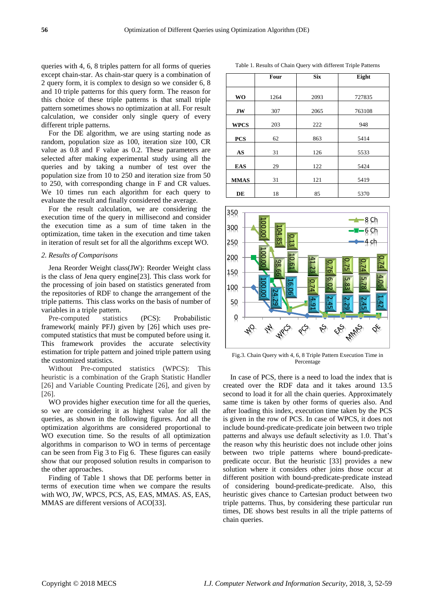queries with 4, 6, 8 triples pattern for all forms of queries except chain-star. As chain-star query is a combination of 2 query form, it is complex to design so we consider 6, 8 and 10 triple patterns for this query form. The reason for this choice of these triple patterns is that small triple pattern sometimes shows no optimization at all. For result calculation, we consider only single query of every different triple patterns.

For the DE algorithm, we are using starting node as random, population size as 100, iteration size 100, CR value as 0.8 and F value as 0.2. These parameters are selected after making experimental study using all the queries and by taking a number of test over the population size from 10 to 250 and iteration size from 50 to 250, with corresponding change in F and CR values. We 10 times run each algorithm for each query to evaluate the result and finally considered the average.

For the result calculation, we are considering the execution time of the query in millisecond and consider the execution time as a sum of time taken in the optimization, time taken in the execution and time taken in iteration of result set for all the algorithms except WO.

#### *2. Results of Comparisons*

Jena Reorder Weight class(JW): Reorder Weight class is the class of Jena query engine[23]. This class work for the processing of join based on statistics generated from the repositories of RDF to change the arrangement of the triple patterns. This class works on the basis of number of variables in a triple pattern.

Pre-computed statistics (PCS): Probabilistic framework( mainly PFJ) given by [26] which uses precomputed statistics that must be computed before using it. This framework provides the accurate selectivity estimation for triple pattern and joined triple pattern using the customized statistics.

Without Pre-computed statistics (WPCS): This heuristic is a combination of the Graph Statistic Handler [26] and Variable Counting Predicate [26], and given by [26].

WO provides higher execution time for all the queries, so we are considering it as highest value for all the queries, as shown in the following figures. And all the optimization algorithms are considered proportional to WO execution time. So the results of all optimization algorithms in comparison to WO in terms of percentage can be seen from Fig 3 to Fig 6. These figures can easily show that our proposed solution results in comparison to the other approaches.

Finding of Table 1 shows that DE performs better in terms of execution time when we compare the results with WO, JW, WPCS, PCS, AS, EAS, MMAS. AS, EAS, MMAS are different versions of ACO[33].

|             | Four | <b>Six</b> | Eight  |
|-------------|------|------------|--------|
| <b>WO</b>   | 1264 | 2093       | 727835 |
| JW          | 307  | 2065       | 763108 |
| <b>WPCS</b> | 203  | 222        | 948    |
| <b>PCS</b>  | 62   | 863        | 5414   |

**AS** 31 126 5533 **EAS** 29 122 5424 **MMAS** 31 121 5419

**DE** 18 18 85 5370

Table 1. Results of Chain Query with different Triple Patterns



Fig.3. Chain Query with 4, 6, 8 Triple Pattern Execution Time in Percentage

100.<br>
100.<br>
50.<br>
50.<br>
50.<br>
71. Chain Q.<br>
71. Chain Q.<br>
71. Chain Q.<br>
71. Chain Q.<br>
71. Chain Q.<br>
81. Fig.3. Chain Q.<br>
82. Chain due bound-patterns and all the reason why<br>
between two predicate occu<br>
80.<br>
80.<br>
80.<br>
80.<br>
80. In case of PCS, there is a need to load the index that is created over the RDF data and it takes around 13.5 second to load it for all the chain queries. Approximately same time is taken by other forms of queries also. And after loading this index, execution time taken by the PCS is given in the row of PCS. In case of WPCS, it does not include bound-predicate-predicate join between two triple patterns and always use default selectivity as 1.0. That's the reason why this heuristic does not include other joins between two triple patterns where bound-predicatepredicate occur. But the heuristic [33] provides a new solution where it considers other joins those occur at different position with bound-predicate-predicate instead of considering bound-predicate-predicate. Also, this heuristic gives chance to Cartesian product between two triple patterns. Thus, by considering these particular run times, DE shows best results in all the triple patterns of chain queries.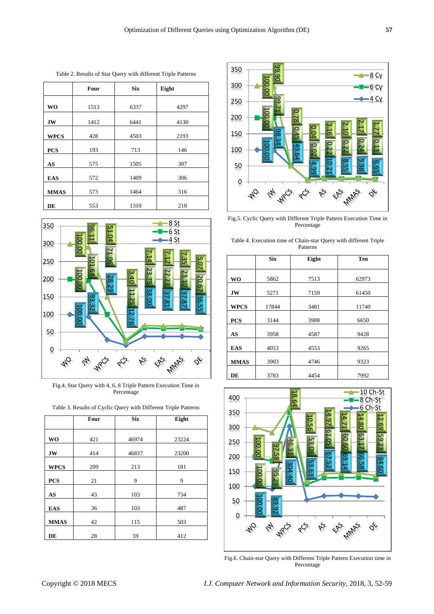Table 2. Results of Star Query with different Triple Patterns

|             | Four | <b>Six</b> | Eight |
|-------------|------|------------|-------|
| <b>WO</b>   | 1513 | 6337       | 4297  |
| <b>JW</b>   | 1412 | 6441       | 4130  |
| <b>WPCS</b> | 428  | 4503       | 2193  |
| <b>PCS</b>  | 193  | 713        | 146   |
| AS          | 575  | 1505       | 307   |
| <b>EAS</b>  | 572  | 1409       | 306   |
| <b>MMAS</b> | 573  | 1464       | 316   |
| DE          | 553  | 1310       | 218   |



Fig.4. Star Query with 4, 6, 8 Triple Pattern Execution Time in Percentage

|             | Four | <b>Six</b> | Eight |
|-------------|------|------------|-------|
| <b>WO</b>   | 421  | 46974      | 23224 |
| <b>JW</b>   | 414  | 46837      | 23200 |
| <b>WPCS</b> | 209  | 213        | 181   |
| <b>PCS</b>  | 21   | 9          | 9     |
| AS          | 43   | 103        | 734   |
| <b>EAS</b>  | 36   | 103        | 487   |
| <b>MMAS</b> | 42   | 115        | 503   |
| DE          | 28   | 59         | 412   |





Fig.5. Cyclic Query with Different Triple Pattern Execution Time in Percentage

|  | --- - -  |                                                                   |
|--|----------|-------------------------------------------------------------------|
|  | Patterns |                                                                   |
|  |          | Table 4. Execution time of Chain-star Query with different Triple |
|  |          |                                                                   |

|             | <b>Six</b> | Eight | Ten   |
|-------------|------------|-------|-------|
|             |            |       |       |
| <b>WO</b>   | 5862       | 7513  | 62973 |
| <b>JW</b>   | 5271       | 7159  | 61450 |
| <b>WPCS</b> | 17844      | 3481  | 11740 |
| <b>PCS</b>  | 3144       | 3988  | 6650  |
| AS          | 3958       | 4587  | 9428  |
| <b>EAS</b>  | 4053       | 4553  | 9265  |
| <b>MMAS</b> | 3903       | 4746  | 9323  |
| DE          | 3783       | 4454  | 7992  |



Fig.6. Chain-star Query with Different Triple Pattern Execution time in Percentage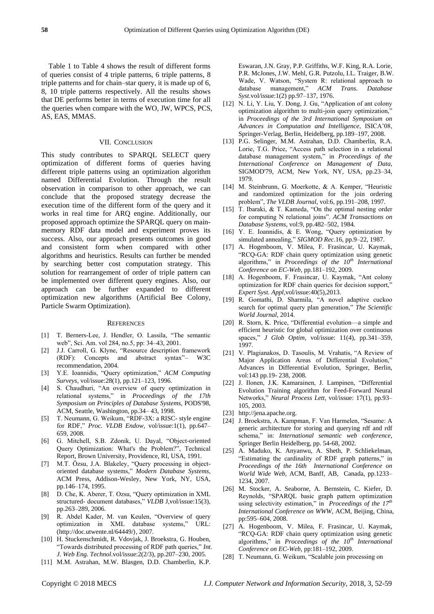Table 1 to Table 4 shows the result of different forms of queries consist of 4 triple patterns, 6 triple patterns, 8 triple patterns and for chain–star query, it is made up of 6, 8, 10 triple patterns respectively. All the results shows that DE performs better in terms of execution time for all the queries when compare with the WO, JW, WPCS, PCS, AS, EAS, MMAS.

#### VII. CONCLUSION

This study contributes to SPARQL SELECT query optimization of different forms of queries having different triple patterns using an optimization algorithm named Differential Evolution. Through the result observation in comparison to other approach, we can conclude that the proposed strategy decrease the execution time of the different form of the query and it works in real time for ARQ engine. Additionally, our proposed approach optimize the SPARQL query on mainmemory RDF data model and experiment proves its success. Also, our approach presents outcomes in good and consistent form when compared with other algorithms and heuristics. Results can further be mended by searching better cost computation strategy. This solution for rearrangement of order of triple pattern can be implemented over different query engines. Also, our approach can be further expanded to different optimization new algorithms (Artificial Bee Colony, Particle Swarm Optimization).

#### **REFERENCES**

- [1] T. Berners-Lee, J. Hendler, O. Lassila, "The semantic web", Sci. Am. vol 284, no.5, pp: 34–43, 2001.
- [2] J.J. Carroll, G. Klyne, "Resource description framework (RDF): Concepts and abstract syntax"– W3C recommendation, 2004.
- [3] Y.E. Ioannidis, "Query optimization," *ACM Computing Surveys,* vol/issue:28(1), pp.121–123, 1996.
- [4] S. Chaudhuri, "An overview of query optimization in relational systems," in *Proceedings of the 17th Symposium on Principles of Database Systems*, PODS'98, ACM, Seattle, Washington, pp.34– 43, 1998.
- [5] T. Neumann, G. Weikum, "RDF-3X: a RISC- style engine for RDF," *Proc. VLDB Endow*, vol/issue:1(1), pp.647– 659, 2008.
- [6] G. Mitchell, S.B. Zdonik, U. Dayal, "Object-oriented Query Optimization: What's the Problem?", Technical Report, Brown University, Providence, RI, USA, 1991.
- [7] M.T. Özsu, J.A. Blakeley, "Query processing in objectoriented database systems," *Modern Database Systems*, ACM Press, Addison-Wesley, New York, NY, USA, pp.146–174, 1995.
- [8] D. Che, K. Aberer, T. Ozsu, "Query optimization in XML structured- document databases," *VLDB* J,vol/issue:15(3), pp.263–289, 2006.
- [9] R. Abdel Kader, M. van Keulen, "Overview of query optimization in XML database systems," URL: 〈http://doc.utwente.nl/64449/〉, 2007.
- [10] H. Stuckenschmidt, R. Vdovjak, J. Broekstra, G. Houben, "Towards distributed processing of RDF path queries," *Int. J. Web Eng. Technol*.vol/issue:2(2/3), pp.207–230, 2005.
- [11] M.M. Astrahan, M.W. Blasgen, D.D. Chamberlin, K.P.

Eswaran, J.N. Gray, P.P. Griffiths, W.F. King, R.A. Lorie, P.R. McJones, J.W. Mehl, G.R. Putzolu, I.L. Traiger, B.W. Wade, V. Watson, "System R: relational approach to database management," *ACM Trans. Database Syst*.vol/issue:1(2) pp.97–137, 1976.

- [12] N. Li, Y. Liu, Y. Dong, J. Gu, "Application of ant colony optimization algorithm to multi-join query optimization," in *Proceedings of the 3rd International Symposium on Advances in Computation and Intelligence*, ISICA'08, Springer-Verlag, Berlin, Heidelberg, pp.189–197, 2008.
- [13] P.G. Selinger, M.M. Astrahan, D.D. Chamberlin, R.A. Lorie, T.G. Price, "Access path selection in a relational database management system," in *Proceedings of the International Conference on Management of Data*, SIGMOD'79, ACM, New York, NY, USA, pp.23–34, 1979.
- [14] M. Steinbrunn, G. Moerkotte, & A. Kemper, "Heuristic and randomized optimization for the join ordering problem", *The VLDB Journal*, vol:6, pp.191–208, 1997.
- [15] T. Ibaraki, & T. Kameda, "On the optimal nesting order for computing N relational joins". *ACM Transactions on Database Systems*, vol:9, pp.482–502, 1984.
- [16] Y. E. Ioannidis, & E. Wong, "Query optimization by simulated annealing," *SIGMOD Rec*.16, pp.9–22, 1987.
- [17] A. Hogenboom, V. Milea, F. Frasincar, U. Kaymak, "RCQ-GA: RDF chain query optimization using genetic algorithms," in *Proceedings of the 10th International Conference on EC-Web*, pp.181–192, 2009.
- [18] A. Hogenboom, F. Frasincar, U. Kaymak, "Ant colony optimization for RDF chain queries for decision support," *Expert Syst. Appl*,vol/issue:40(5),2013.
- [19] R. Gomathi, D. Sharmila, "A novel adaptive cuckoo search for optimal query plan generation," *The Scientific World Journal*, 2014.
- [20] R. Storn, K. Price, "Differential evolution—a simple and efficient heuristic for global optimization over continuous spaces," *J Glob Optim,* vol/issue: 11(4), pp.341–359, 1997.
- [21] V. Plagianakos, D. Tasoulis, M. Vrahatis, "A Review of Major Application Areas of Differential Evolution," Advances in Differential Evolution, Springer, Berlin, vol:143 pp.19- 238, 2008.
- [22] J. Ilonen, J.K. Kamarainen, J. Lampinen, "Differential Evolution Training algorithm for Feed-Forward Neural Networks," *Neural Process Lett,* vol/issue: 17(1), pp.93– 105, 2003.
- [23] [http://jena.apache.org.](http://jena.apache.org/)
- [24] J. Broekstra, A. Kampman, F. Van Harmelen, "Sesame: A generic architecture for storing and querying rdf and rdf schema," in: *International semantic web conference*, Springer Berlin Heidelberg, pp. 54-68, 2002.
- [25] A. Maduko, K. Anyanwu, A. Sheth, P. Schliekelman, "Estimating the cardinality of RDF graph patterns," in *Proceedings of the 16th International Conference on World Wide Web*, ACM, Banff, AB, Canada, pp.1233– 1234, 2007.
- [26] M. Stocker, A. Seaborne, A. Bernstein, C. Kiefer, D. Reynolds, "SPARQL basic graph pattern optimization using selectivity estimation," in *Proceedings of the 17th International Conference on WWW*, ACM, Beijing, China, pp:595–604, 2008.
- [27] A. Hogenboom, V. Milea, F. Frasincar, U. Kaymak, "RCQ-GA: RDF chain query optimization using genetic algorithms," in *Proceedings of the 10th International Conference on EC-Web*, pp:181–192, 2009.
- [28] T. Neumann, G. Weikum, "Scalable join processing on